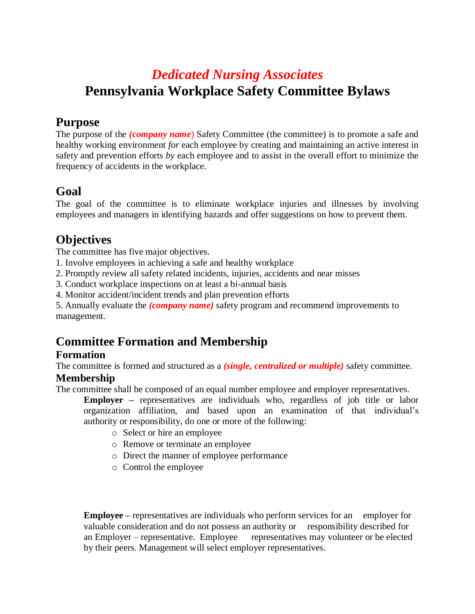# *Dedicated Nursing Associates* **Pennsylvania Workplace Safety Committee Bylaws**

### **Purpose**

The purpose of the *(company name)* Safety Committee (the committee) is to promote a safe and healthy working environment *for* each employee by creating and maintaining an active interest in safety and prevention efforts *by* each employee and to assist in the overall effort to minimize the frequency of accidents in the workplace.

## **Goal**

The goal of the committee is to eliminate workplace injuries and illnesses by involving employees and managers in identifying hazards and offer suggestions on how to prevent them.

## **Objectives**

The committee has five major objectives.

- 1. Involve employees in achieving a safe and healthy workplace
- 2. Promptly review all safety related incidents, injuries, accidents and near misses

3. Conduct workplace inspections on at least a bi-annual basis

4. Monitor accident/incident trends and plan prevention efforts

5. Annually evaluate the *(company name)* safety program and recommend improvements to management.

## **Committee Formation and Membership**

### **Formation**

The committee is formed and structured as a *(single, centralized or multiple)* safety committee. **Membership**

The committee shall be composed of an equal number employee and employer representatives.

**Employer –** representatives are individuals who, regardless of job title or labor organization affiliation, and based upon an examination of that individual's authority or responsibility, do one or more of the following:

- o Select or hire an employee
- o Remove or terminate an employee
- o Direct the manner of employee performance
- o Control the employee

**Employee –** representatives are individuals who perform services for an employer for valuable consideration and do not possess an authority or responsibility described for an Employer – representative. Employee representatives may volunteer or be elected by their peers. Management will select employer representatives.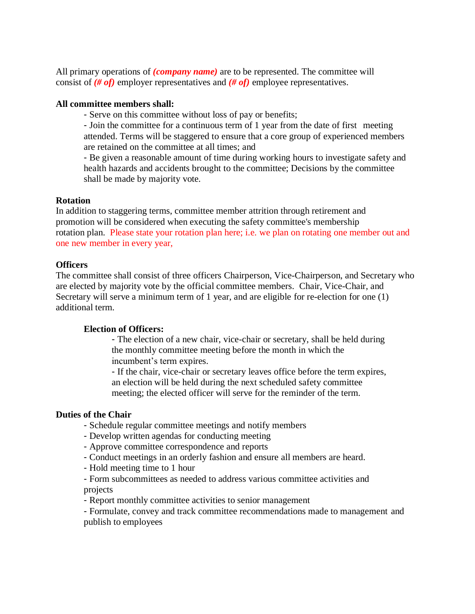All primary operations of *(company name)* are to be represented. The committee will consist of *(# of)* employer representatives and *(# of)* employee representatives.

#### **All committee members shall:**

- Serve on this committee without loss of pay or benefits;

- Join the committee for a continuous term of 1 year from the date of first meeting attended. Terms will be staggered to ensure that a core group of experienced members are retained on the committee at all times; and

- Be given a reasonable amount of time during working hours to investigate safety and health hazards and accidents brought to the committee; Decisions by the committee shall be made by majority vote.

#### **Rotation**

In addition to staggering terms, committee member attrition through retirement and promotion will be considered when executing the safety committee's membership rotation plan. Please state your rotation plan here; i.e. we plan on rotating one member out and one new member in every year,

#### **Officers**

The committee shall consist of three officers Chairperson, Vice-Chairperson, and Secretary who are elected by majority vote by the official committee members. Chair, Vice-Chair, and Secretary will serve a minimum term of 1 year, and are eligible for re-election for one (1) additional term.

#### **Election of Officers:**

- The election of a new chair, vice-chair or secretary, shall be held during the monthly committee meeting before the month in which the incumbent's term expires.

- If the chair, vice-chair or secretary leaves office before the term expires, an election will be held during the next scheduled safety committee meeting; the elected officer will serve for the reminder of the term.

#### **Duties of the Chair**

- Schedule regular committee meetings and notify members
- Develop written agendas for conducting meeting
- Approve committee correspondence and reports
- Conduct meetings in an orderly fashion and ensure all members are heard.
- Hold meeting time to 1 hour
- Form subcommittees as needed to address various committee activities and projects
- Report monthly committee activities to senior management

- Formulate, convey and track committee recommendations made to management and publish to employees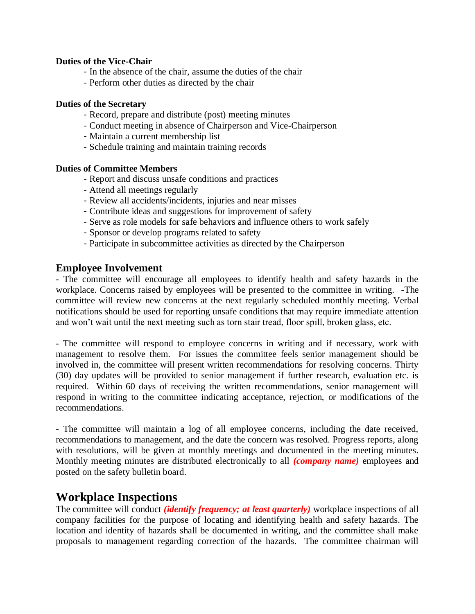#### **Duties of the Vice-Chair**

- In the absence of the chair, assume the duties of the chair
- Perform other duties as directed by the chair

#### **Duties of the Secretary**

- Record, prepare and distribute (post) meeting minutes
- Conduct meeting in absence of Chairperson and Vice-Chairperson
- Maintain a current membership list
- Schedule training and maintain training records

#### **Duties of Committee Members**

- Report and discuss unsafe conditions and practices
- Attend all meetings regularly
- Review all accidents/incidents, injuries and near misses
- Contribute ideas and suggestions for improvement of safety
- Serve as role models for safe behaviors and influence others to work safely
- Sponsor or develop programs related to safety
- Participate in subcommittee activities as directed by the Chairperson

#### **Employee Involvement**

- The committee will encourage all employees to identify health and safety hazards in the workplace. Concerns raised by employees will be presented to the committee in writing. -The committee will review new concerns at the next regularly scheduled monthly meeting. Verbal notifications should be used for reporting unsafe conditions that may require immediate attention and won't wait until the next meeting such as torn stair tread, floor spill, broken glass, etc.

- The committee will respond to employee concerns in writing and if necessary, work with management to resolve them. For issues the committee feels senior management should be involved in, the committee will present written recommendations for resolving concerns. Thirty (30) day updates will be provided to senior management if further research, evaluation etc. is required. Within 60 days of receiving the written recommendations, senior management will respond in writing to the committee indicating acceptance, rejection, or modifications of the recommendations.

- The committee will maintain a log of all employee concerns, including the date received, recommendations to management, and the date the concern was resolved. Progress reports, along with resolutions, will be given at monthly meetings and documented in the meeting minutes. Monthly meeting minutes are distributed electronically to all *(company name)* employees and posted on the safety bulletin board.

### **Workplace Inspections**

The committee will conduct *(identify frequency; at least quarterly)* workplace inspections of all company facilities for the purpose of locating and identifying health and safety hazards. The location and identity of hazards shall be documented in writing, and the committee shall make proposals to management regarding correction of the hazards. The committee chairman will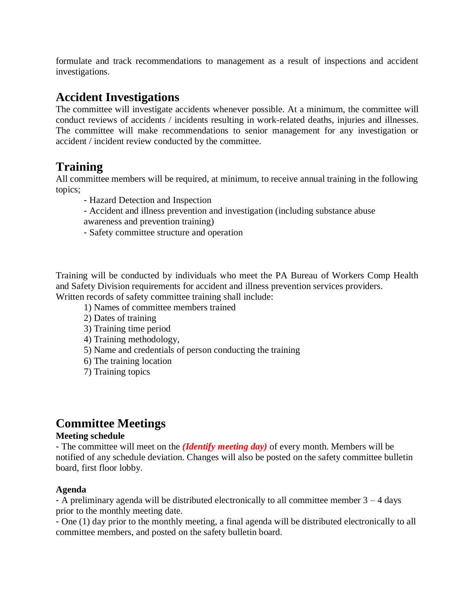formulate and track recommendations to management as a result of inspections and accident investigations.

## **Accident Investigations**

The committee will investigate accidents whenever possible. At a minimum, the committee will conduct reviews of accidents / incidents resulting in work-related deaths, injuries and illnesses. The committee will make recommendations to senior management for any investigation or accident / incident review conducted by the committee.

### **Training**

All committee members will be required, at minimum, to receive annual training in the following topics;

- Hazard Detection and Inspection
- Accident and illness prevention and investigation (including substance abuse awareness and prevention training)
- Safety committee structure and operation

Training will be conducted by individuals who meet the PA Bureau of Workers Comp Health and Safety Division requirements for accident and illness prevention services providers. Written records of safety committee training shall include:

- 1) Names of committee members trained
- 2) Dates of training
- 3) Training time period
- 4) Training methodology,
- 5) Name and credentials of person conducting the training
- 6) The training location
- 7) Training topics

## **Committee Meetings**

#### **Meeting schedule**

- The committee will meet on the *(Identify meeting day)* of every month. Members will be notified of any schedule deviation. Changes will also be posted on the safety committee bulletin board, first floor lobby.

#### **Agenda**

- A preliminary agenda will be distributed electronically to all committee member 3 – 4 days prior to the monthly meeting date.

- One (1) day prior to the monthly meeting, a final agenda will be distributed electronically to all committee members, and posted on the safety bulletin board.